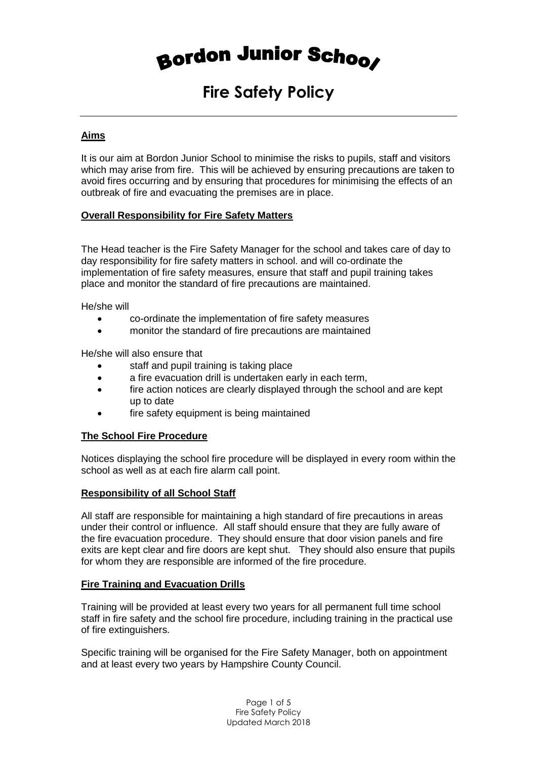# Bordon Junior Schoos

## **Fire Safety Policy**

#### **Aims**

It is our aim at Bordon Junior School to minimise the risks to pupils, staff and visitors which may arise from fire. This will be achieved by ensuring precautions are taken to avoid fires occurring and by ensuring that procedures for minimising the effects of an outbreak of fire and evacuating the premises are in place.

#### **Overall Responsibility for Fire Safety Matters**

The Head teacher is the Fire Safety Manager for the school and takes care of day to day responsibility for fire safety matters in school. and will co-ordinate the implementation of fire safety measures, ensure that staff and pupil training takes place and monitor the standard of fire precautions are maintained.

He/she will

- co-ordinate the implementation of fire safety measures
- monitor the standard of fire precautions are maintained

He/she will also ensure that

- staff and pupil training is taking place
- a fire evacuation drill is undertaken early in each term,
- fire action notices are clearly displayed through the school and are kept up to date
- fire safety equipment is being maintained

#### **The School Fire Procedure**

Notices displaying the school fire procedure will be displayed in every room within the school as well as at each fire alarm call point.

#### **Responsibility of all School Staff**

All staff are responsible for maintaining a high standard of fire precautions in areas under their control or influence. All staff should ensure that they are fully aware of the fire evacuation procedure. They should ensure that door vision panels and fire exits are kept clear and fire doors are kept shut. They should also ensure that pupils for whom they are responsible are informed of the fire procedure.

#### **Fire Training and Evacuation Drills**

Training will be provided at least every two years for all permanent full time school staff in fire safety and the school fire procedure, including training in the practical use of fire extinguishers.

Specific training will be organised for the Fire Safety Manager, both on appointment and at least every two years by Hampshire County Council.

> Page 1 of 5 Fire Safety Policy Updated March 2018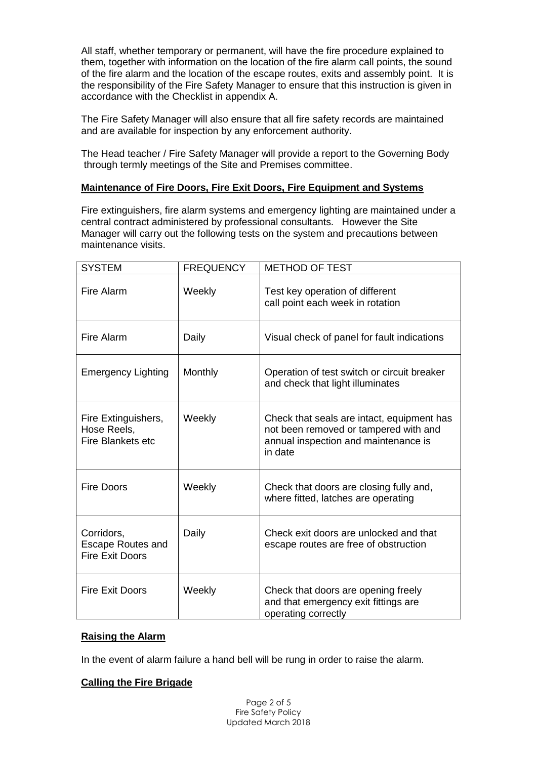All staff, whether temporary or permanent, will have the fire procedure explained to them, together with information on the location of the fire alarm call points, the sound of the fire alarm and the location of the escape routes, exits and assembly point. It is the responsibility of the Fire Safety Manager to ensure that this instruction is given in accordance with the Checklist in appendix A.

The Fire Safety Manager will also ensure that all fire safety records are maintained and are available for inspection by any enforcement authority.

The Head teacher / Fire Safety Manager will provide a report to the Governing Body through termly meetings of the Site and Premises committee.

#### **Maintenance of Fire Doors, Fire Exit Doors, Fire Equipment and Systems**

Fire extinguishers, fire alarm systems and emergency lighting are maintained under a central contract administered by professional consultants. However the Site Manager will carry out the following tests on the system and precautions between maintenance visits.

| <b>SYSTEM</b>                                                    | <b>FREQUENCY</b> | <b>METHOD OF TEST</b>                                                                                                                  |
|------------------------------------------------------------------|------------------|----------------------------------------------------------------------------------------------------------------------------------------|
| Fire Alarm                                                       | Weekly           | Test key operation of different<br>call point each week in rotation                                                                    |
| Fire Alarm                                                       | Daily            | Visual check of panel for fault indications                                                                                            |
| <b>Emergency Lighting</b>                                        | Monthly          | Operation of test switch or circuit breaker<br>and check that light illuminates                                                        |
| Fire Extinguishers,<br>Hose Reels,<br><b>Fire Blankets etc</b>   | Weekly           | Check that seals are intact, equipment has<br>not been removed or tampered with and<br>annual inspection and maintenance is<br>in date |
| <b>Fire Doors</b>                                                | Weekly           | Check that doors are closing fully and,<br>where fitted, latches are operating                                                         |
| Corridors,<br><b>Escape Routes and</b><br><b>Fire Exit Doors</b> | Daily            | Check exit doors are unlocked and that<br>escape routes are free of obstruction                                                        |
| <b>Fire Exit Doors</b>                                           | Weekly           | Check that doors are opening freely<br>and that emergency exit fittings are<br>operating correctly                                     |

#### **Raising the Alarm**

In the event of alarm failure a hand bell will be rung in order to raise the alarm.

#### **Calling the Fire Brigade**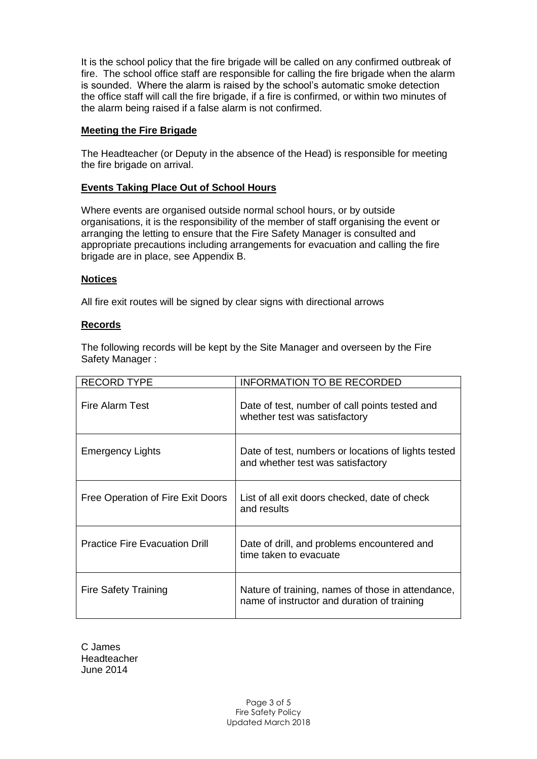It is the school policy that the fire brigade will be called on any confirmed outbreak of fire. The school office staff are responsible for calling the fire brigade when the alarm is sounded. Where the alarm is raised by the school's automatic smoke detection the office staff will call the fire brigade, if a fire is confirmed, or within two minutes of the alarm being raised if a false alarm is not confirmed.

#### **Meeting the Fire Brigade**

The Headteacher (or Deputy in the absence of the Head) is responsible for meeting the fire brigade on arrival.

#### **Events Taking Place Out of School Hours**

Where events are organised outside normal school hours, or by outside organisations, it is the responsibility of the member of staff organising the event or arranging the letting to ensure that the Fire Safety Manager is consulted and appropriate precautions including arrangements for evacuation and calling the fire brigade are in place, see Appendix B.

#### **Notices**

All fire exit routes will be signed by clear signs with directional arrows

#### **Records**

The following records will be kept by the Site Manager and overseen by the Fire Safety Manager :

| <b>RECORD TYPE</b>                    | <b>INFORMATION TO BE RECORDED</b>                                                                |
|---------------------------------------|--------------------------------------------------------------------------------------------------|
| Fire Alarm Test                       | Date of test, number of call points tested and<br>whether test was satisfactory                  |
| <b>Emergency Lights</b>               | Date of test, numbers or locations of lights tested<br>and whether test was satisfactory         |
| Free Operation of Fire Exit Doors     | List of all exit doors checked, date of check<br>and results                                     |
| <b>Practice Fire Evacuation Drill</b> | Date of drill, and problems encountered and<br>time taken to evacuate                            |
| <b>Fire Safety Training</b>           | Nature of training, names of those in attendance,<br>name of instructor and duration of training |

C James Headteacher June 2014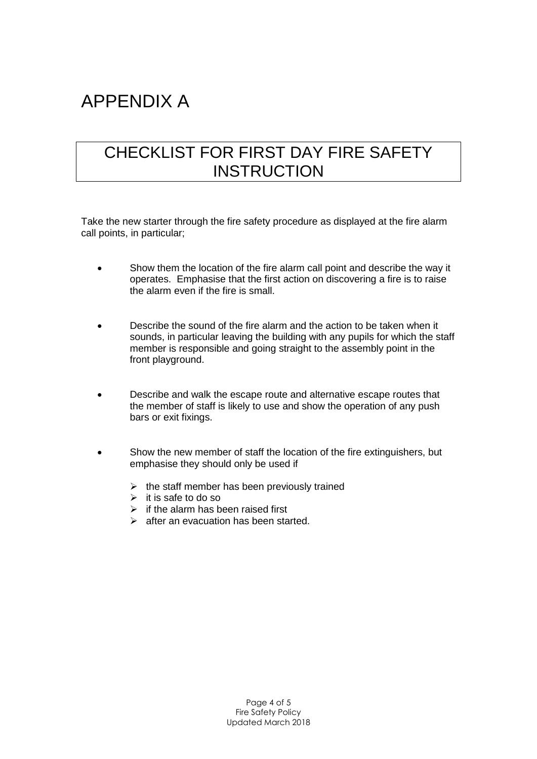## APPENDIX A

### CHECKLIST FOR FIRST DAY FIRE SAFETY **INSTRUCTION**

Take the new starter through the fire safety procedure as displayed at the fire alarm call points, in particular;

- Show them the location of the fire alarm call point and describe the way it operates. Emphasise that the first action on discovering a fire is to raise the alarm even if the fire is small.
- Describe the sound of the fire alarm and the action to be taken when it sounds, in particular leaving the building with any pupils for which the staff member is responsible and going straight to the assembly point in the front playground.
- Describe and walk the escape route and alternative escape routes that the member of staff is likely to use and show the operation of any push bars or exit fixings.
- Show the new member of staff the location of the fire extinguishers, but emphasise they should only be used if
	- $\triangleright$  the staff member has been previously trained
	- $\triangleright$  it is safe to do so
	- $\triangleright$  if the alarm has been raised first
	- $\triangleright$  after an evacuation has been started.

Page 4 of 5 Fire Safety Policy Updated March 2018